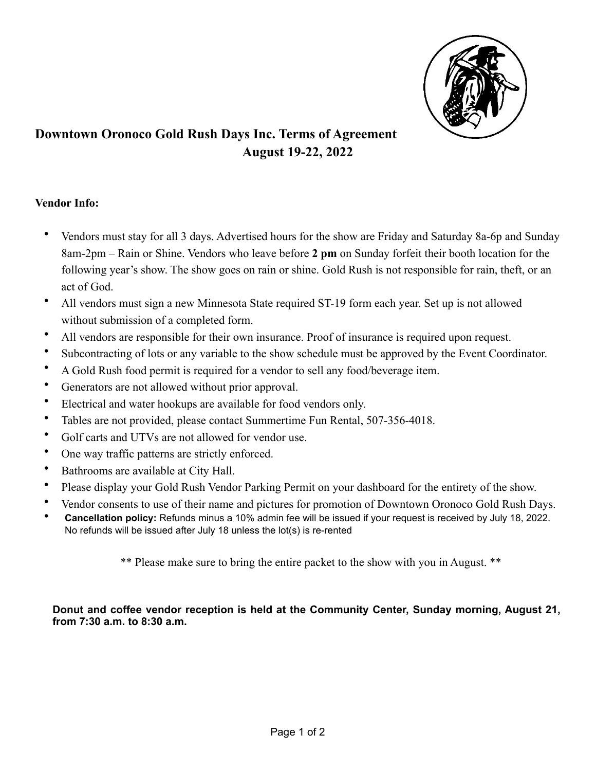

# **Downtown Oronoco Gold Rush Days Inc. Terms of Agreement August 19-22, 2022**

#### **Vendor Info:**

- Vendors must stay for all 3 days. Advertised hours for the show are Friday and Saturday 8a-6p and Sunday 8am-2pm – Rain or Shine. Vendors who leave before **2 pm** on Sunday forfeit their booth location for the following year's show. The show goes on rain or shine. Gold Rush is not responsible for rain, theft, or an act of God.
- All vendors must sign a new Minnesota State required ST-19 form each year. Set up is not allowed without submission of a completed form.
- All vendors are responsible for their own insurance. Proof of insurance is required upon request.
- Subcontracting of lots or any variable to the show schedule must be approved by the Event Coordinator.
- A Gold Rush food permit is required for a vendor to sell any food/beverage item.
- Generators are not allowed without prior approval.
- Electrical and water hookups are available for food vendors only.
- Tables are not provided, please contact Summertime Fun Rental, 507-356-4018.
- Golf carts and UTVs are not allowed for vendor use.
- One way traffic patterns are strictly enforced.
- Bathrooms are available at City Hall.
- Please display your Gold Rush Vendor Parking Permit on your dashboard for the entirety of the show.
- Vendor consents to use of their name and pictures for promotion of Downtown Oronoco Gold Rush Days.
- **Cancellation policy:** Refunds minus a 10% admin fee will be issued if your request is received by July 18, 2022. No refunds will be issued after July 18 unless the lot(s) is re-rented

\*\* Please make sure to bring the entire packet to the show with you in August. \*\*

#### **Donut and coffee vendor reception is held at the Community Center, Sunday morning, August 21, from 7:30 a.m. to 8:30 a.m.**